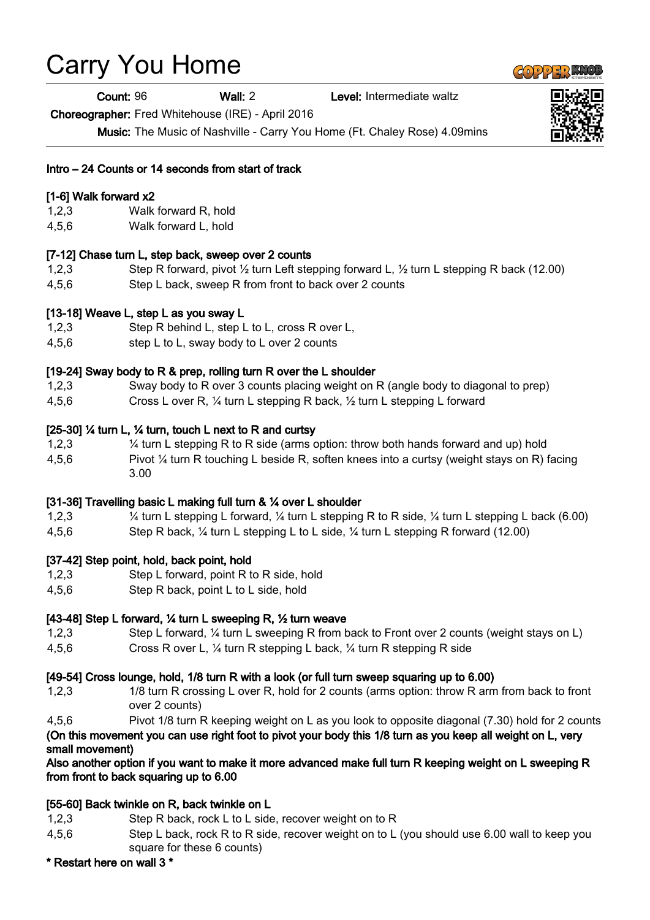# Carry You Home

Count: 96 Wall: 2 Level: Intermediate waltz

Choreographer: Fred Whitehouse (IRE) - April 2016

Music: The Music of Nashville - Carry You Home (Ft. Chaley Rose) 4.09mins

## Intro – 24 Counts or 14 seconds from start of track

## [1-6] Walk forward x2

- 1,2,3 Walk forward R, hold
- 4,5,6 Walk forward L, hold

## [7-12] Chase turn L, step back, sweep over 2 counts

- 1,2,3 Step R forward, pivot ½ turn Left stepping forward L, ½ turn L stepping R back (12.00)
- 4,5,6 Step L back, sweep R from front to back over 2 counts

## [13-18] Weave L, step L as you sway L

- 1,2,3 Step R behind L, step L to L, cross R over L,
- 4,5,6 step L to L, sway body to L over 2 counts

## [19-24] Sway body to R & prep, rolling turn R over the L shoulder

- 1,2,3 Sway body to R over 3 counts placing weight on R (angle body to diagonal to prep)
- 4,5,6 Cross L over R, ¼ turn L stepping R back, ½ turn L stepping L forward

## [25-30]  $\frac{1}{2}$  turn L,  $\frac{1}{2}$  turn, touch L next to R and curtsy

1,2,3 ¼ turn L stepping R to R side (arms option: throw both hands forward and up) hold 4,5,6 Pivot ¼ turn R touching L beside R, soften knees into a curtsy (weight stays on R) facing 3.00

### [31-36] Travelling basic L making full turn & ¼ over L shoulder

- 1,2,3 ¼ turn L stepping L forward, ¼ turn L stepping R to R side, ¼ turn L stepping L back (6.00)
- 4,5,6 Step R back, ¼ turn L stepping L to L side, ¼ turn L stepping R forward (12.00)

# [37-42] Step point, hold, back point, hold

- 1,2,3 Step L forward, point R to R side, hold
- 4,5,6 Step R back, point L to L side, hold

# [43-48] Step L forward, ¼ turn L sweeping R, ½ turn weave

- 1,2,3 Step L forward, ¼ turn L sweeping R from back to Front over 2 counts (weight stays on L)
- 4,5,6 Cross R over L, ¼ turn R stepping L back, ¼ turn R stepping R side

# [49-54] Cross lounge, hold, 1/8 turn R with a look (or full turn sweep squaring up to 6.00)

1,2,3 1/8 turn R crossing L over R, hold for 2 counts (arms option: throw R arm from back to front over 2 counts)

4,5,6 Pivot 1/8 turn R keeping weight on L as you look to opposite diagonal (7.30) hold for 2 counts (On this movement you can use right foot to pivot your body this 1/8 turn as you keep all weight on L, very small movement)

# Also another option if you want to make it more advanced make full turn R keeping weight on L sweeping R from front to back squaring up to 6.00

# [55-60] Back twinkle on R, back twinkle on L

- 1,2,3 Step R back, rock L to L side, recover weight on to R
- 4,5,6 Step L back, rock R to R side, recover weight on to L (you should use 6.00 wall to keep you square for these 6 counts)

# \* Restart here on wall 3 \*

 $(G_0)$  22 a 3 KKO